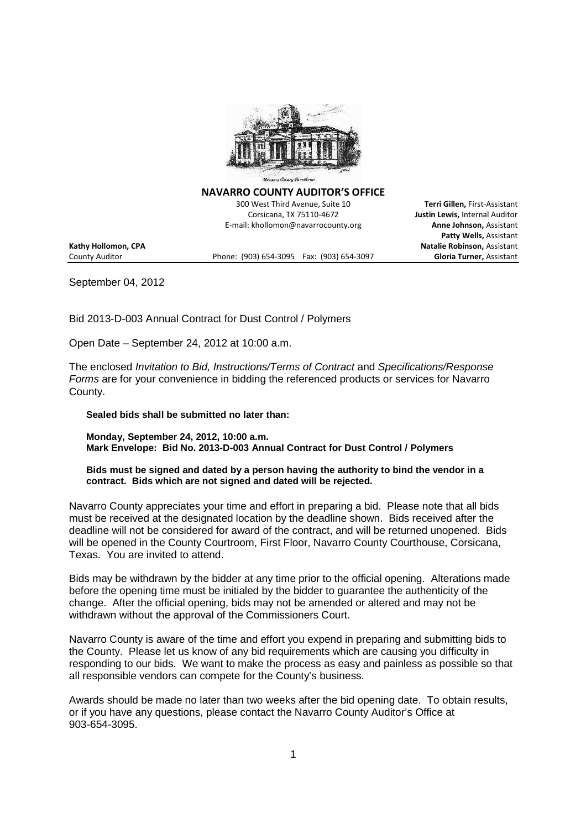

**NAVARRO COUNTY AUDITOR'S OFFICE**

300 West Third Avenue, Suite 10 **Terri Gillen,** First-Assistant Corsicana, TX 75110-4672 **Justin Lewis,** Internal Auditor E-mail: khollomon@navarrocounty.org

**Kathy Hollomon, CPA Natalie Robinson,** Assistant

County Auditor Phone: (903) 654-3095 Fax: (903) 654-3097 **Gloria Turner,** Assistant

**Patty Wells,** Assistant

September 04, 2012

Bid 2013-D-003 Annual Contract for Dust Control / Polymers

Open Date – September 24, 2012 at 10:00 a.m.

The enclosed *Invitation to Bid, Instructions/Terms of Contract* and *Specifications/Response Forms* are for your convenience in bidding the referenced products or services for Navarro County.

**Sealed bids shall be submitted no later than:**

**Monday, September 24, 2012, 10:00 a.m. Mark Envelope: Bid No. 2013-D-003 Annual Contract for Dust Control / Polymers**

**Bids must be signed and dated by a person having the authority to bind the vendor in a contract. Bids which are not signed and dated will be rejected.**

Navarro County appreciates your time and effort in preparing a bid. Please note that all bids must be received at the designated location by the deadline shown. Bids received after the deadline will not be considered for award of the contract, and will be returned unopened. Bids will be opened in the County Courtroom, First Floor, Navarro County Courthouse, Corsicana, Texas. You are invited to attend.

Bids may be withdrawn by the bidder at any time prior to the official opening. Alterations made before the opening time must be initialed by the bidder to guarantee the authenticity of the change. After the official opening, bids may not be amended or altered and may not be withdrawn without the approval of the Commissioners Court.

Navarro County is aware of the time and effort you expend in preparing and submitting bids to the County. Please let us know of any bid requirements which are causing you difficulty in responding to our bids. We want to make the process as easy and painless as possible so that all responsible vendors can compete for the County's business.

Awards should be made no later than two weeks after the bid opening date. To obtain results, or if you have any questions, please contact the Navarro County Auditor's Office at 903-654-3095.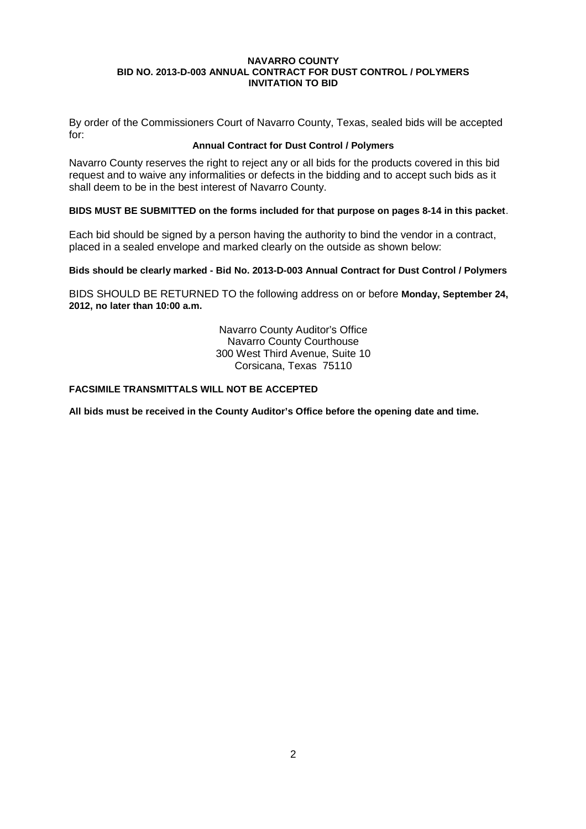By order of the Commissioners Court of Navarro County, Texas, sealed bids will be accepted for:

## **Annual Contract for Dust Control / Polymers**

Navarro County reserves the right to reject any or all bids for the products covered in this bid request and to waive any informalities or defects in the bidding and to accept such bids as it shall deem to be in the best interest of Navarro County.

## **BIDS MUST BE SUBMITTED on the forms included for that purpose on pages 8-14 in this packet**.

Each bid should be signed by a person having the authority to bind the vendor in a contract, placed in a sealed envelope and marked clearly on the outside as shown below:

## **Bids should be clearly marked - Bid No. 2013-D-003 Annual Contract for Dust Control / Polymers**

BIDS SHOULD BE RETURNED TO the following address on or before **Monday, September 24, 2012, no later than 10:00 a.m.**

> Navarro County Auditor's Office Navarro County Courthouse 300 West Third Avenue, Suite 10 Corsicana, Texas 75110

## **FACSIMILE TRANSMITTALS WILL NOT BE ACCEPTED**

**All bids must be received in the County Auditor's Office before the opening date and time.**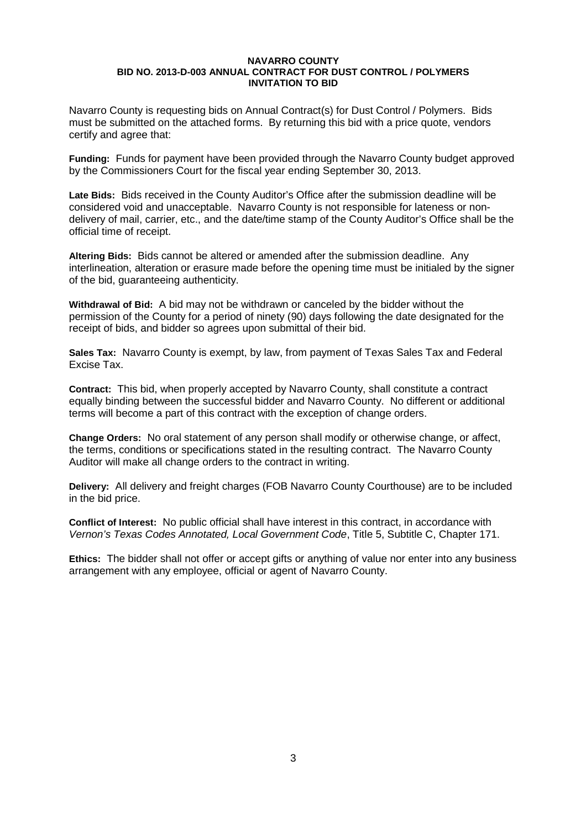Navarro County is requesting bids on Annual Contract(s) for Dust Control / Polymers. Bids must be submitted on the attached forms. By returning this bid with a price quote, vendors certify and agree that:

**Funding:** Funds for payment have been provided through the Navarro County budget approved by the Commissioners Court for the fiscal year ending September 30, 2013.

**Late Bids:** Bids received in the County Auditor's Office after the submission deadline will be considered void and unacceptable. Navarro County is not responsible for lateness or nondelivery of mail, carrier, etc., and the date/time stamp of the County Auditor's Office shall be the official time of receipt.

**Altering Bids:** Bids cannot be altered or amended after the submission deadline. Any interlineation, alteration or erasure made before the opening time must be initialed by the signer of the bid, guaranteeing authenticity.

**Withdrawal of Bid:** A bid may not be withdrawn or canceled by the bidder without the permission of the County for a period of ninety (90) days following the date designated for the receipt of bids, and bidder so agrees upon submittal of their bid.

**Sales Tax:** Navarro County is exempt, by law, from payment of Texas Sales Tax and Federal Excise Tax.

**Contract:** This bid, when properly accepted by Navarro County, shall constitute a contract equally binding between the successful bidder and Navarro County. No different or additional terms will become a part of this contract with the exception of change orders.

**Change Orders:** No oral statement of any person shall modify or otherwise change, or affect, the terms, conditions or specifications stated in the resulting contract. The Navarro County Auditor will make all change orders to the contract in writing.

**Delivery:** All delivery and freight charges (FOB Navarro County Courthouse) are to be included in the bid price.

**Conflict of Interest:** No public official shall have interest in this contract, in accordance with *Vernon's Texas Codes Annotated, Local Government Code*, Title 5, Subtitle C, Chapter 171.

**Ethics:** The bidder shall not offer or accept gifts or anything of value nor enter into any business arrangement with any employee, official or agent of Navarro County.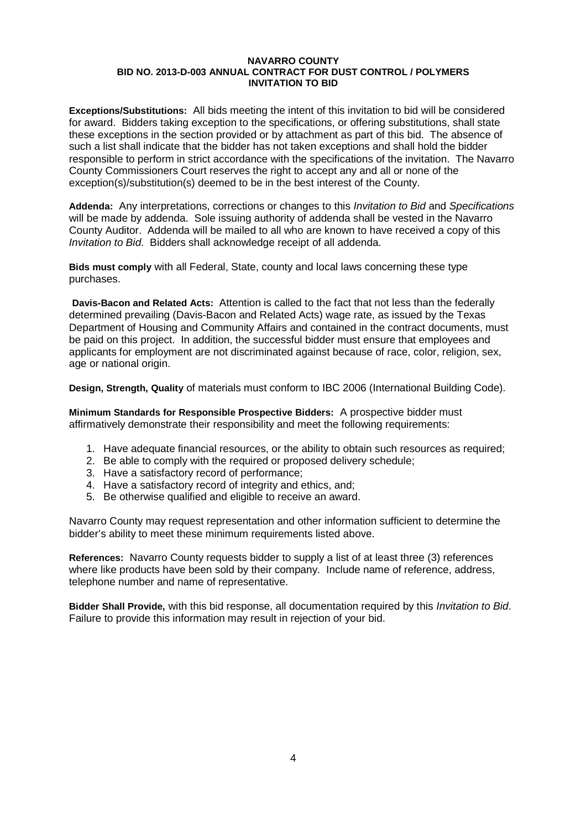**Exceptions/Substitutions:** All bids meeting the intent of this invitation to bid will be considered for award. Bidders taking exception to the specifications, or offering substitutions, shall state these exceptions in the section provided or by attachment as part of this bid. The absence of such a list shall indicate that the bidder has not taken exceptions and shall hold the bidder responsible to perform in strict accordance with the specifications of the invitation. The Navarro County Commissioners Court reserves the right to accept any and all or none of the exception(s)/substitution(s) deemed to be in the best interest of the County.

**Addenda:** Any interpretations, corrections or changes to this *Invitation to Bid* and *Specifications* will be made by addenda. Sole issuing authority of addenda shall be vested in the Navarro County Auditor. Addenda will be mailed to all who are known to have received a copy of this *Invitation to Bid*. Bidders shall acknowledge receipt of all addenda.

**Bids must comply** with all Federal, State, county and local laws concerning these type purchases.

**Davis-Bacon and Related Acts:** Attention is called to the fact that not less than the federally determined prevailing (Davis-Bacon and Related Acts) wage rate, as issued by the Texas Department of Housing and Community Affairs and contained in the contract documents, must be paid on this project. In addition, the successful bidder must ensure that employees and applicants for employment are not discriminated against because of race, color, religion, sex, age or national origin.

**Design, Strength, Quality** of materials must conform to IBC 2006 (International Building Code).

**Minimum Standards for Responsible Prospective Bidders:** A prospective bidder must affirmatively demonstrate their responsibility and meet the following requirements:

- 1. Have adequate financial resources, or the ability to obtain such resources as required;
- 2. Be able to comply with the required or proposed delivery schedule;
- 3. Have a satisfactory record of performance;
- 4. Have a satisfactory record of integrity and ethics, and;
- 5. Be otherwise qualified and eligible to receive an award.

Navarro County may request representation and other information sufficient to determine the bidder's ability to meet these minimum requirements listed above.

**References:** Navarro County requests bidder to supply a list of at least three (3) references where like products have been sold by their company. Include name of reference, address, telephone number and name of representative.

**Bidder Shall Provide,** with this bid response, all documentation required by this *Invitation to Bid*. Failure to provide this information may result in rejection of your bid.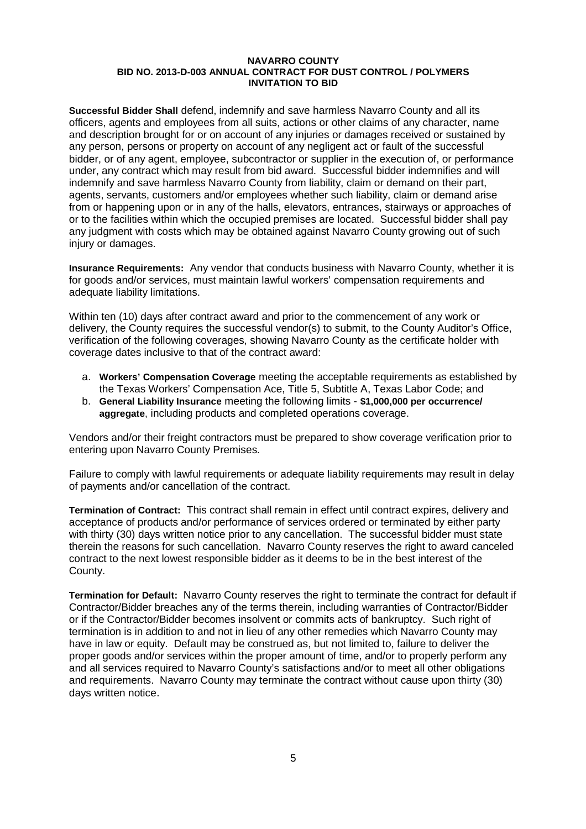**Successful Bidder Shall** defend, indemnify and save harmless Navarro County and all its officers, agents and employees from all suits, actions or other claims of any character, name and description brought for or on account of any injuries or damages received or sustained by any person, persons or property on account of any negligent act or fault of the successful bidder, or of any agent, employee, subcontractor or supplier in the execution of, or performance under, any contract which may result from bid award. Successful bidder indemnifies and will indemnify and save harmless Navarro County from liability, claim or demand on their part, agents, servants, customers and/or employees whether such liability, claim or demand arise from or happening upon or in any of the halls, elevators, entrances, stairways or approaches of or to the facilities within which the occupied premises are located. Successful bidder shall pay any judgment with costs which may be obtained against Navarro County growing out of such injury or damages.

**Insurance Requirements:** Any vendor that conducts business with Navarro County, whether it is for goods and/or services, must maintain lawful workers' compensation requirements and adequate liability limitations.

Within ten (10) days after contract award and prior to the commencement of any work or delivery, the County requires the successful vendor(s) to submit, to the County Auditor's Office, verification of the following coverages, showing Navarro County as the certificate holder with coverage dates inclusive to that of the contract award:

- a. **Workers' Compensation Coverage** meeting the acceptable requirements as established by the Texas Workers' Compensation Ace, Title 5, Subtitle A, Texas Labor Code; and
- b. **General Liability Insurance** meeting the following limits **\$1,000,000 per occurrence/ aggregate**, including products and completed operations coverage.

Vendors and/or their freight contractors must be prepared to show coverage verification prior to entering upon Navarro County Premises.

Failure to comply with lawful requirements or adequate liability requirements may result in delay of payments and/or cancellation of the contract.

**Termination of Contract:** This contract shall remain in effect until contract expires, delivery and acceptance of products and/or performance of services ordered or terminated by either party with thirty (30) days written notice prior to any cancellation. The successful bidder must state therein the reasons for such cancellation. Navarro County reserves the right to award canceled contract to the next lowest responsible bidder as it deems to be in the best interest of the County.

**Termination for Default:** Navarro County reserves the right to terminate the contract for default if Contractor/Bidder breaches any of the terms therein, including warranties of Contractor/Bidder or if the Contractor/Bidder becomes insolvent or commits acts of bankruptcy. Such right of termination is in addition to and not in lieu of any other remedies which Navarro County may have in law or equity. Default may be construed as, but not limited to, failure to deliver the proper goods and/or services within the proper amount of time, and/or to properly perform any and all services required to Navarro County's satisfactions and/or to meet all other obligations and requirements. Navarro County may terminate the contract without cause upon thirty (30) days written notice.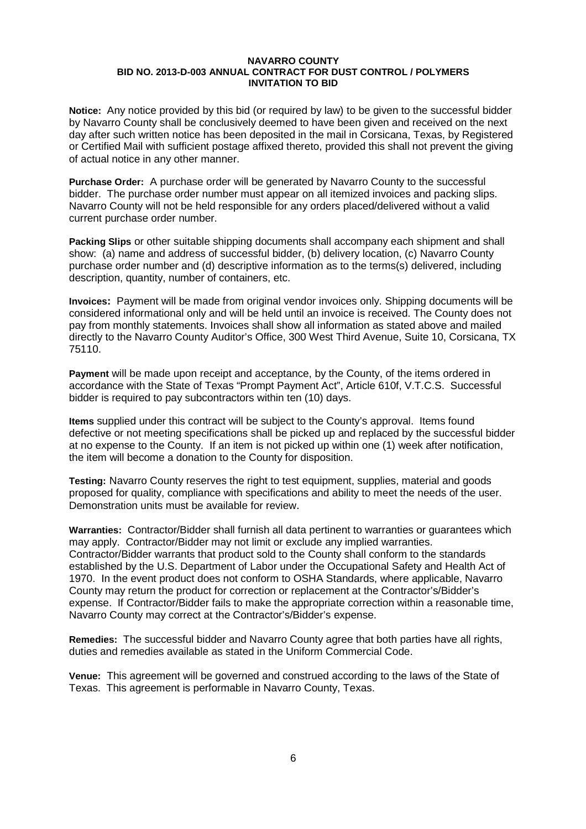**Notice:** Any notice provided by this bid (or required by law) to be given to the successful bidder by Navarro County shall be conclusively deemed to have been given and received on the next day after such written notice has been deposited in the mail in Corsicana, Texas, by Registered or Certified Mail with sufficient postage affixed thereto, provided this shall not prevent the giving of actual notice in any other manner.

**Purchase Order:** A purchase order will be generated by Navarro County to the successful bidder. The purchase order number must appear on all itemized invoices and packing slips. Navarro County will not be held responsible for any orders placed/delivered without a valid current purchase order number.

**Packing Slips** or other suitable shipping documents shall accompany each shipment and shall show: (a) name and address of successful bidder, (b) delivery location, (c) Navarro County purchase order number and (d) descriptive information as to the terms(s) delivered, including description, quantity, number of containers, etc.

**Invoices:** Payment will be made from original vendor invoices only. Shipping documents will be considered informational only and will be held until an invoice is received. The County does not pay from monthly statements. Invoices shall show all information as stated above and mailed directly to the Navarro County Auditor's Office, 300 West Third Avenue, Suite 10, Corsicana, TX 75110.

**Payment** will be made upon receipt and acceptance, by the County, of the items ordered in accordance with the State of Texas "Prompt Payment Act", Article 610f, V.T.C.S. Successful bidder is required to pay subcontractors within ten (10) days.

**Items** supplied under this contract will be subject to the County's approval. Items found defective or not meeting specifications shall be picked up and replaced by the successful bidder at no expense to the County. If an item is not picked up within one (1) week after notification, the item will become a donation to the County for disposition.

**Testing:** Navarro County reserves the right to test equipment, supplies, material and goods proposed for quality, compliance with specifications and ability to meet the needs of the user. Demonstration units must be available for review.

**Warranties:** Contractor/Bidder shall furnish all data pertinent to warranties or guarantees which may apply. Contractor/Bidder may not limit or exclude any implied warranties. Contractor/Bidder warrants that product sold to the County shall conform to the standards established by the U.S. Department of Labor under the Occupational Safety and Health Act of 1970. In the event product does not conform to OSHA Standards, where applicable, Navarro County may return the product for correction or replacement at the Contractor's/Bidder's expense. If Contractor/Bidder fails to make the appropriate correction within a reasonable time, Navarro County may correct at the Contractor's/Bidder's expense.

**Remedies:** The successful bidder and Navarro County agree that both parties have all rights, duties and remedies available as stated in the Uniform Commercial Code.

**Venue:** This agreement will be governed and construed according to the laws of the State of Texas. This agreement is performable in Navarro County, Texas.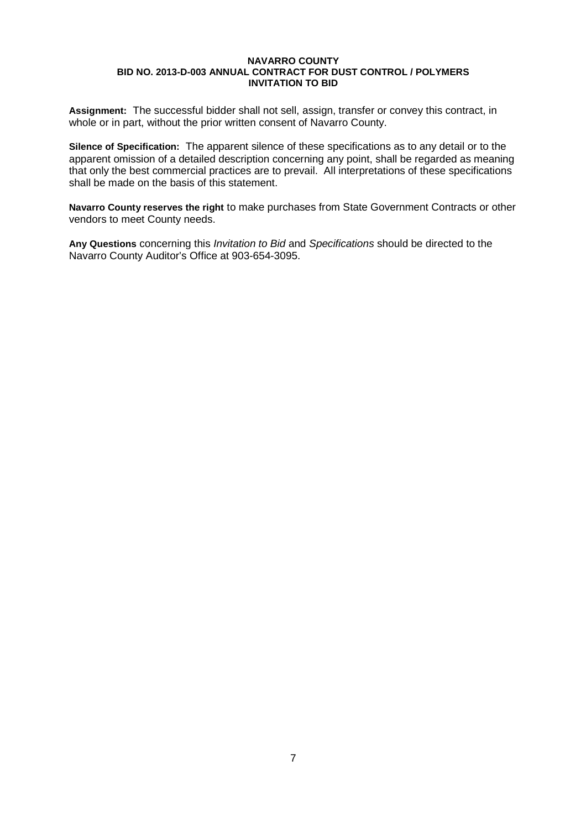**Assignment:** The successful bidder shall not sell, assign, transfer or convey this contract, in whole or in part, without the prior written consent of Navarro County.

**Silence of Specification:** The apparent silence of these specifications as to any detail or to the apparent omission of a detailed description concerning any point, shall be regarded as meaning that only the best commercial practices are to prevail. All interpretations of these specifications shall be made on the basis of this statement.

**Navarro County reserves the right** to make purchases from State Government Contracts or other vendors to meet County needs.

**Any Questions** concerning this *Invitation to Bid* and *Specifications* should be directed to the Navarro County Auditor's Office at 903-654-3095.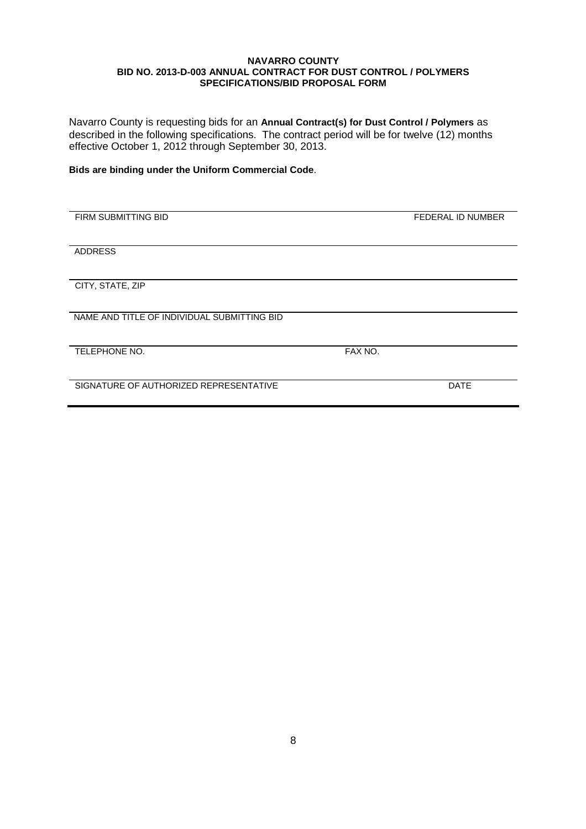Navarro County is requesting bids for an **Annual Contract(s) for Dust Control / Polymers** as described in the following specifications. The contract period will be for twelve (12) months effective October 1, 2012 through September 30, 2013.

## **Bids are binding under the Uniform Commercial Code**.

| FIRM SUBMITTING BID                         |         | FEDERAL ID NUMBER |
|---------------------------------------------|---------|-------------------|
|                                             |         |                   |
|                                             |         |                   |
| <b>ADDRESS</b>                              |         |                   |
|                                             |         |                   |
|                                             |         |                   |
| CITY, STATE, ZIP                            |         |                   |
|                                             |         |                   |
|                                             |         |                   |
| NAME AND TITLE OF INDIVIDUAL SUBMITTING BID |         |                   |
|                                             |         |                   |
|                                             |         |                   |
| TELEPHONE NO.                               | FAX NO. |                   |
|                                             |         |                   |
|                                             |         |                   |
| SIGNATURE OF AUTHORIZED REPRESENTATIVE      |         | <b>DATE</b>       |
|                                             |         |                   |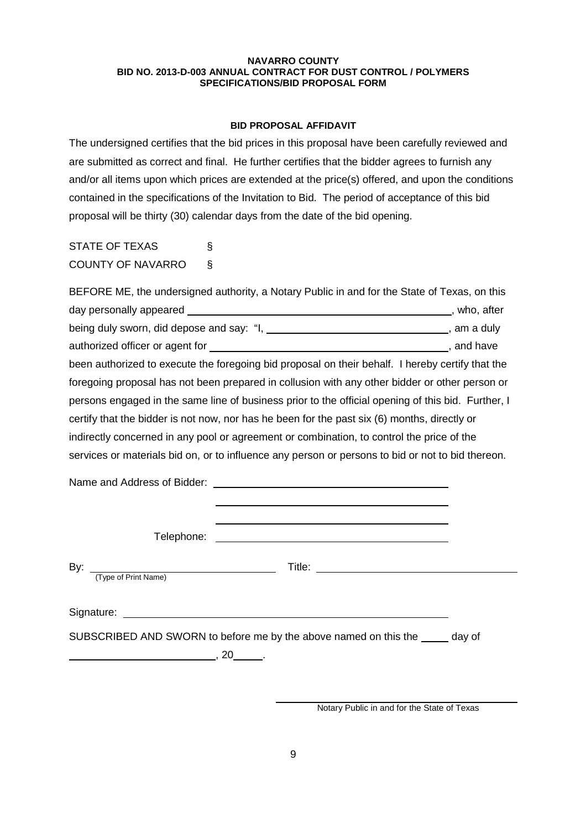## **BID PROPOSAL AFFIDAVIT**

The undersigned certifies that the bid prices in this proposal have been carefully reviewed and are submitted as correct and final. He further certifies that the bidder agrees to furnish any and/or all items upon which prices are extended at the price(s) offered, and upon the conditions contained in the specifications of the Invitation to Bid. The period of acceptance of this bid proposal will be thirty (30) calendar days from the date of the bid opening.

STATE OF TEXAS § COUNTY OF NAVARRO §

|                                                 | BEFORE ME, the undersigned authority, a Notary Public in and for the State of Texas, on this                                                                                                                                         |  |
|-------------------------------------------------|--------------------------------------------------------------------------------------------------------------------------------------------------------------------------------------------------------------------------------------|--|
|                                                 |                                                                                                                                                                                                                                      |  |
|                                                 | being duly sworn, did depose and say: "I, ________________________________, am a duly                                                                                                                                                |  |
|                                                 |                                                                                                                                                                                                                                      |  |
|                                                 | been authorized to execute the foregoing bid proposal on their behalf. I hereby certify that the                                                                                                                                     |  |
|                                                 | foregoing proposal has not been prepared in collusion with any other bidder or other person or                                                                                                                                       |  |
|                                                 | persons engaged in the same line of business prior to the official opening of this bid. Further, I                                                                                                                                   |  |
|                                                 | certify that the bidder is not now, nor has he been for the past six (6) months, directly or                                                                                                                                         |  |
|                                                 | indirectly concerned in any pool or agreement or combination, to control the price of the                                                                                                                                            |  |
|                                                 | services or materials bid on, or to influence any person or persons to bid or not to bid thereon.                                                                                                                                    |  |
|                                                 |                                                                                                                                                                                                                                      |  |
| Telephone:                                      | <u> 1989 - Andrea Stadt Britain, amerikansk politiker (</u>                                                                                                                                                                          |  |
| By: $\frac{1}{(Type of Print Name)}$            |                                                                                                                                                                                                                                      |  |
|                                                 | Signature: <u>with the contract of the contract of the contract of the contract of the contract of the contract of the contract of the contract of the contract of the contract of the contract of the contract of the contract </u> |  |
| <u> 1980 - Johann Barnett, fransk politik (</u> | SUBSCRIBED AND SWORN to before me by the above named on this the _____ day of<br>$\frac{1}{2}$ , 20 $\frac{1}{2}$ .                                                                                                                  |  |

Notary Public in and for the State of Texas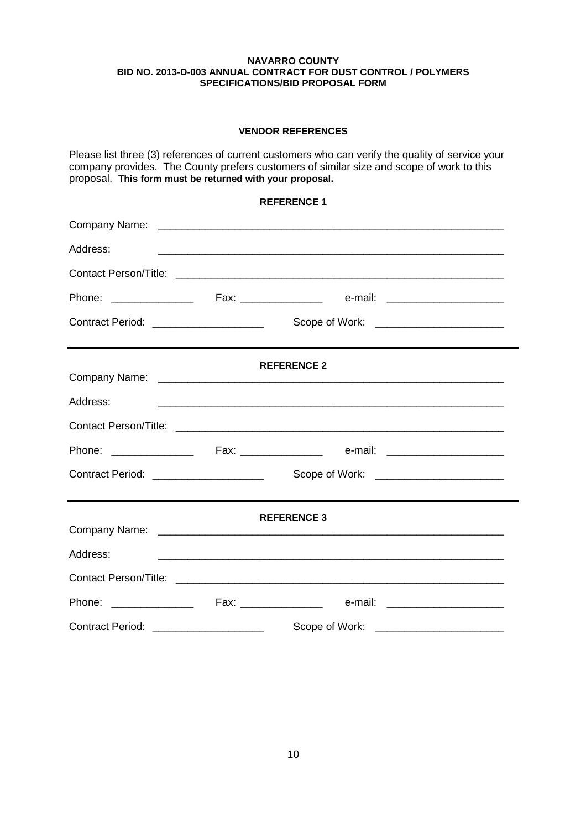## **VENDOR REFERENCES**

Please list three (3) references of current customers who can verify the quality of service your company provides. The County prefers customers of similar size and scope of work to this proposal. **This form must be returned with your proposal.**

|                                       |  | <b>REFERENCE 1</b>                      |  |
|---------------------------------------|--|-----------------------------------------|--|
|                                       |  |                                         |  |
| Address:                              |  |                                         |  |
|                                       |  |                                         |  |
|                                       |  |                                         |  |
|                                       |  |                                         |  |
|                                       |  | <b>REFERENCE 2</b>                      |  |
| Address:                              |  |                                         |  |
|                                       |  |                                         |  |
|                                       |  |                                         |  |
|                                       |  |                                         |  |
|                                       |  | <b>REFERENCE 3</b>                      |  |
| Address:                              |  |                                         |  |
|                                       |  |                                         |  |
|                                       |  |                                         |  |
| Contract Period: ____________________ |  | Scope of Work: ________________________ |  |

10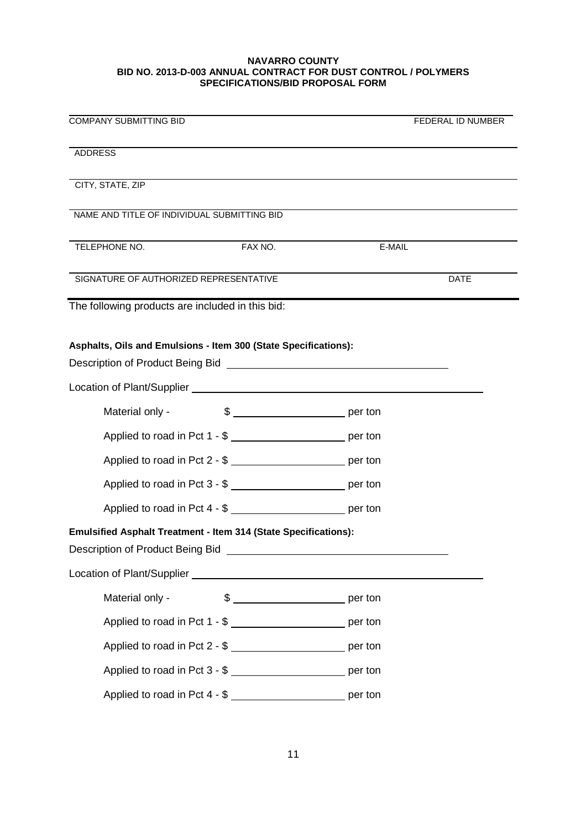| <b>COMPANY SUBMITTING BID</b>                                                                                                                                                                                                                                                                     |         |        | FEDERAL ID NUMBER |
|---------------------------------------------------------------------------------------------------------------------------------------------------------------------------------------------------------------------------------------------------------------------------------------------------|---------|--------|-------------------|
| <b>ADDRESS</b>                                                                                                                                                                                                                                                                                    |         |        |                   |
| CITY, STATE, ZIP                                                                                                                                                                                                                                                                                  |         |        |                   |
| NAME AND TITLE OF INDIVIDUAL SUBMITTING BID                                                                                                                                                                                                                                                       |         |        |                   |
| TELEPHONE NO.                                                                                                                                                                                                                                                                                     | FAX NO. | E-MAIL |                   |
| SIGNATURE OF AUTHORIZED REPRESENTATIVE                                                                                                                                                                                                                                                            |         |        | <b>DATE</b>       |
| The following products are included in this bid:                                                                                                                                                                                                                                                  |         |        |                   |
| Asphalts, Oils and Emulsions - Item 300 (State Specifications):<br>Description of Product Being Bid Network and Secretary Annual Secretary Annual Secretary Annual Secretary Annual Secretary Annual Secretary Annual Secretary Annual Secretary Annual Secretary Annual Secretary Annual Secreta |         |        |                   |
|                                                                                                                                                                                                                                                                                                   |         |        |                   |
| Material only -                                                                                                                                                                                                                                                                                   |         |        |                   |
| Applied to road in Pct 1 - \$ ____________________________ per ton                                                                                                                                                                                                                                |         |        |                   |
| Applied to road in Pct 2 - \$ ___________________________ per ton                                                                                                                                                                                                                                 |         |        |                   |
| Applied to road in Pct 3 - \$ __________________________ per ton                                                                                                                                                                                                                                  |         |        |                   |
| Applied to road in Pct 4 - \$ __________________________ per ton                                                                                                                                                                                                                                  |         |        |                   |
| <b>Emulsified Asphalt Treatment - Item 314 (State Specifications):</b><br>Description of Product Being Bid New York Changes and Theorem 2014                                                                                                                                                      |         |        |                   |
|                                                                                                                                                                                                                                                                                                   |         |        |                   |
| Material only -                                                                                                                                                                                                                                                                                   |         |        |                   |
| Applied to road in Pct 1 - \$ __________________________ per ton                                                                                                                                                                                                                                  |         |        |                   |
| Applied to road in Pct 2 - \$                                                                                                                                                                                                                                                                     |         |        |                   |
| Applied to road in Pct 3 - \$ __________________________ per ton                                                                                                                                                                                                                                  |         |        |                   |
| Applied to road in Pct 4 - \$ ___________________________ per ton                                                                                                                                                                                                                                 |         |        |                   |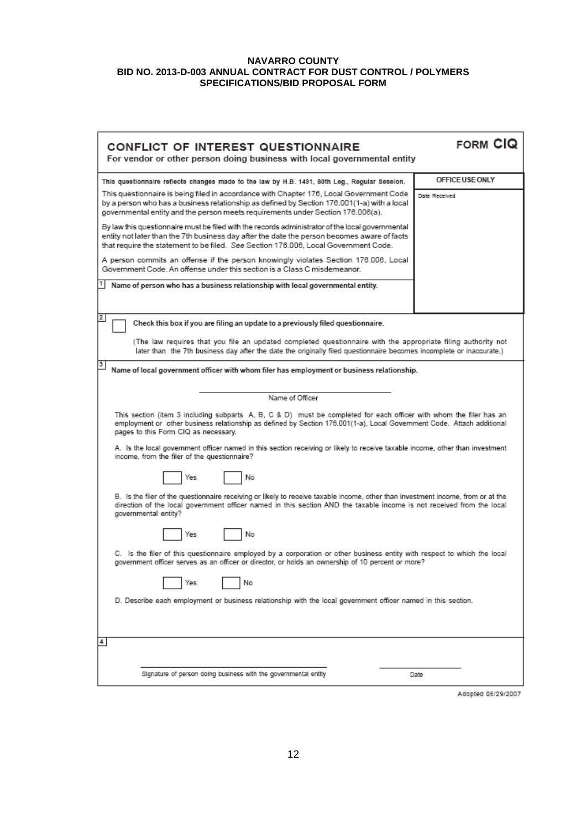| CONFLICT OF INTEREST QUESTIONNAIRE<br>For vendor or other person doing business with local governmental entity                                                                                                                                                                         | FORM CIQ        |  |
|----------------------------------------------------------------------------------------------------------------------------------------------------------------------------------------------------------------------------------------------------------------------------------------|-----------------|--|
| This questionnaire reflects changes made to the law by H.B. 1491, 80th Leg., Regular Session.                                                                                                                                                                                          | OFFICE USE ONLY |  |
| This questionnaire is being filed in accordance with Chapter 176, Local Government Code<br>by a person who has a business relationship as defined by Section 176.001(1-a) with a local<br>governmental entity and the person meets requirements under Section 176.006(a).              | Date Received   |  |
| By law this questionnaire must be filed with the records administrator of the local governmental<br>entity not later than the 7th business day after the date the person becomes aware of facts<br>that require the statement to be filed. See Section 176.006, Local Government Code. |                 |  |
| A person commits an offense if the person knowingly violates Section 176.006, Local<br>Government Code. An offense under this section is a Class C misdemeanor.                                                                                                                        |                 |  |
| Name of person who has a business relationship with local governmental entity.                                                                                                                                                                                                         |                 |  |
| 2<br>Check this box if you are filing an update to a previously filed questionnaire.                                                                                                                                                                                                   |                 |  |
| (The law requires that you file an updated completed questionnaire with the appropriate filing authority not<br>later than the 7th business day after the date the originally filed questionnaire becomes incomplete or inaccurate.)                                                   |                 |  |
| 3<br>Name of local government officer with whom filer has employment or business relationship.                                                                                                                                                                                         |                 |  |
| Name of Officer                                                                                                                                                                                                                                                                        |                 |  |
| This section (item 3 including subparts A, B, C & D) must be completed for each officer with whom the filer has an<br>employment or other business relationship as defined by Section 176.001(1-a), Local Government Code. Attach additional<br>pages to this Form CIQ as necessary.   |                 |  |
| A. Is the local government officer named in this section receiving or likely to receive taxable income, other than investment<br>income, from the filer of the questionnaire?                                                                                                          |                 |  |
| No<br>Yes                                                                                                                                                                                                                                                                              |                 |  |
| B. Is the filer of the questionnaire receiving or likely to receive taxable income, other than investment income, from or at the<br>direction of the local government officer named in this section AND the taxable income is not received from the local<br>governmental entity?      |                 |  |
| No<br>Yes                                                                                                                                                                                                                                                                              |                 |  |
| C. Is the filer of this questionnaire employed by a corporation or other business entity with respect to which the local<br>government officer serves as an officer or director, or holds an ownership of 10 percent or more?                                                          |                 |  |
| No<br>Yes                                                                                                                                                                                                                                                                              |                 |  |
| D. Describe each employment or business relationship with the local government officer named in this section.                                                                                                                                                                          |                 |  |
| $\frac{4}{ }$                                                                                                                                                                                                                                                                          |                 |  |
| Signature of person doing business with the governmental entity                                                                                                                                                                                                                        | Date            |  |

Adopted 06/29/2007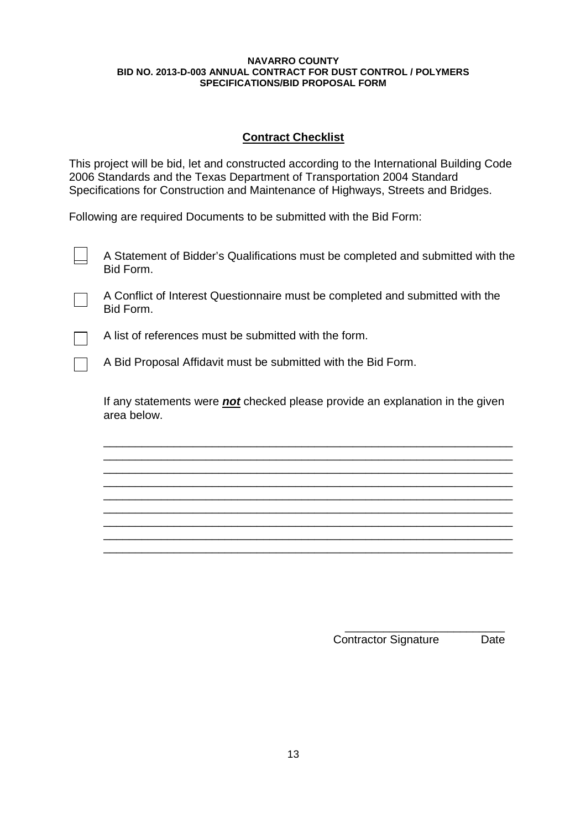## **Contract Checklist**

This project will be bid, let and constructed according to the International Building Code 2006 Standards and the Texas Department of Transportation 2004 Standard Specifications for Construction and Maintenance of Highways, Streets and Bridges.

Following are required Documents to be submitted with the Bid Form:

| A Statement of Bidder's Qualifications must be completed and submitted with the<br>Bid Form.        |
|-----------------------------------------------------------------------------------------------------|
| A Conflict of Interest Questionnaire must be completed and submitted with the<br>Bid Form.          |
| A list of references must be submitted with the form.                                               |
| A Bid Proposal Affidavit must be submitted with the Bid Form.                                       |
| If any statements were <b>not</b> checked please provide an explanation in the given<br>area below. |
|                                                                                                     |
|                                                                                                     |
|                                                                                                     |

\_\_\_\_\_\_\_\_\_\_\_\_\_\_\_\_\_\_\_\_\_\_\_\_\_\_\_\_\_\_\_\_\_\_\_\_\_\_\_\_\_\_\_\_\_\_\_\_\_\_\_\_\_\_\_\_\_\_\_\_\_\_\_\_ \_\_\_\_\_\_\_\_\_\_\_\_\_\_\_\_\_\_\_\_\_\_\_\_\_\_\_\_\_\_\_\_\_\_\_\_\_\_\_\_\_\_\_\_\_\_\_\_\_\_\_\_\_\_\_\_\_\_\_\_\_\_\_\_ \_\_\_\_\_\_\_\_\_\_\_\_\_\_\_\_\_\_\_\_\_\_\_\_\_\_\_\_\_\_\_\_\_\_\_\_\_\_\_\_\_\_\_\_\_\_\_\_\_\_\_\_\_\_\_\_\_\_\_\_\_\_\_\_

> \_\_\_\_\_\_\_\_\_\_\_\_\_\_\_\_\_\_\_\_\_\_\_\_\_ Contractor Signature Date